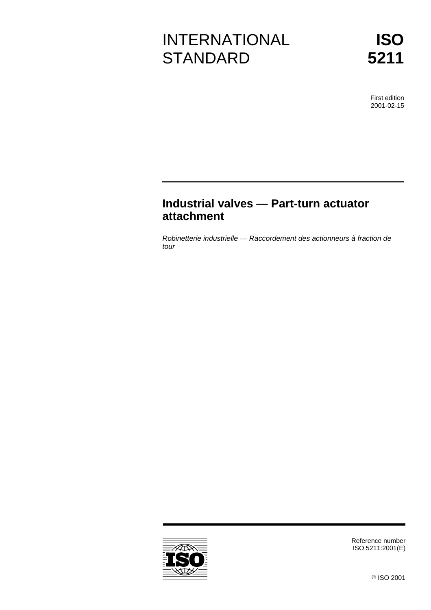# INTERNATIONAL **STANDARD**

First edition 2001-02-15

# **Industrial valves — Part-turn actuator attachment**

Robinetterie industrielle — Raccordement des actionneurs à fraction de tour



Reference number ISO 5211:2001(E)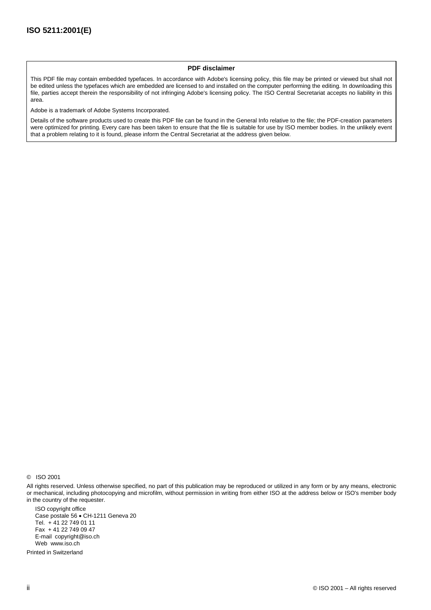#### **PDF disclaimer**

This PDF file may contain embedded typefaces. In accordance with Adobe's licensing policy, this file may be printed or viewed but shall not be edited unless the typefaces which are embedded are licensed to and installed on the computer performing the editing. In downloading this file, parties accept therein the responsibility of not infringing Adobe's licensing policy. The ISO Central Secretariat accepts no liability in this area.

Adobe is a trademark of Adobe Systems Incorporated.

Details of the software products used to create this PDF file can be found in the General Info relative to the file; the PDF-creation parameters were optimized for printing. Every care has been taken to ensure that the file is suitable for use by ISO member bodies. In the unlikely event that a problem relating to it is found, please inform the Central Secretariat at the address given below.

© ISO 2001

All rights reserved. Unless otherwise specified, no part of this publication may be reproduced or utilized in any form or by any means, electronic or mechanical, including photocopying and microfilm, without permission in writing from either ISO at the address below or ISO's member body in the country of the requester.

ISO copyright office Case postale 56 · CH-1211 Geneva 20 Tel. + 41 22 749 01 11 Fax + 41 22 749 09 47 E-mail copyright@iso.ch Web www.iso.ch

Printed in Switzerland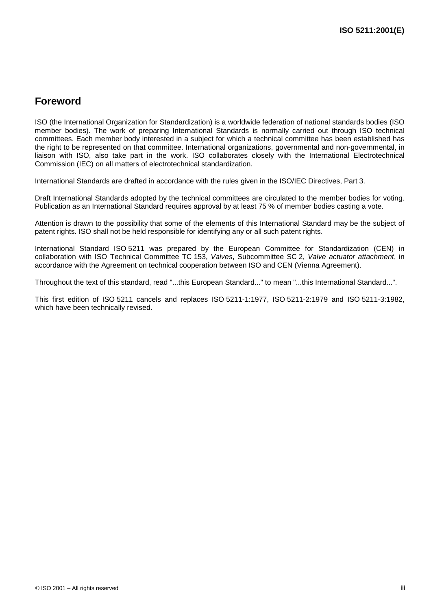# **Foreword**

ISO (the International Organization for Standardization) is a worldwide federation of national standards bodies (ISO member bodies). The work of preparing International Standards is normally carried out through ISO technical committees. Each member body interested in a subject for which a technical committee has been established has the right to be represented on that committee. International organizations, governmental and non-governmental, in liaison with ISO, also take part in the work. ISO collaborates closely with the International Electrotechnical Commission (IEC) on all matters of electrotechnical standardization.

International Standards are drafted in accordance with the rules given in the ISO/IEC Directives, Part 3.

Draft International Standards adopted by the technical committees are circulated to the member bodies for voting. Publication as an International Standard requires approval by at least 75 % of member bodies casting a vote.

Attention is drawn to the possibility that some of the elements of this International Standard may be the subject of patent rights. ISO shall not be held responsible for identifying any or all such patent rights.

International Standard ISO 5211 was prepared by the European Committee for Standardization (CEN) in collaboration with ISO Technical Committee TC 153, Valves, Subcommittee SC 2, Valve actuator attachment, in accordance with the Agreement on technical cooperation between ISO and CEN (Vienna Agreement).

Throughout the text of this standard, read "...this European Standard..." to mean "...this International Standard...".

This first edition of ISO 5211 cancels and replaces ISO 5211-1:1977, ISO 5211-2:1979 and ISO 5211-3:1982, which have been technically revised.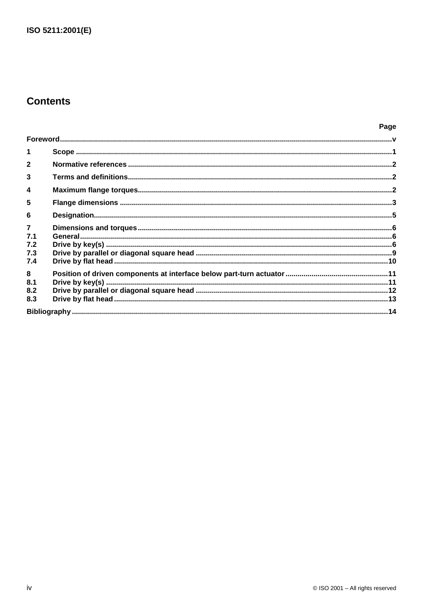# **Contents**

| $\blacktriangleleft$<br>$\overline{2}$<br>$\mathbf{3}$<br>$\boldsymbol{4}$<br>5<br>6<br>$\overline{7}$<br>7.1<br>7.2<br>7.3<br>7.4<br>8<br>8.1<br>8.2<br>8.3 |  |  |
|--------------------------------------------------------------------------------------------------------------------------------------------------------------|--|--|
|                                                                                                                                                              |  |  |
|                                                                                                                                                              |  |  |
|                                                                                                                                                              |  |  |
|                                                                                                                                                              |  |  |
|                                                                                                                                                              |  |  |
|                                                                                                                                                              |  |  |
|                                                                                                                                                              |  |  |
|                                                                                                                                                              |  |  |
|                                                                                                                                                              |  |  |
|                                                                                                                                                              |  |  |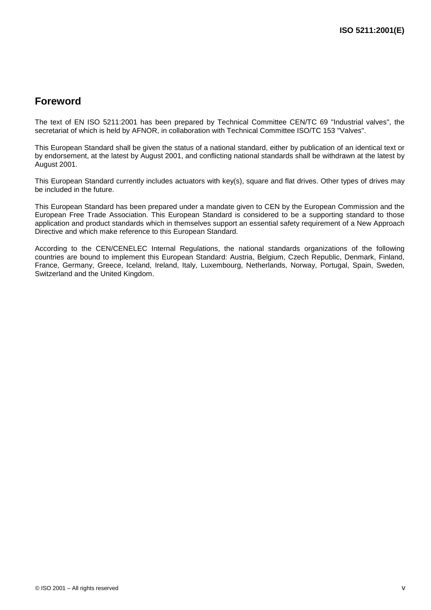# **Foreword**

The text of EN ISO 5211:2001 has been prepared by Technical Committee CEN/TC 69 "Industrial valves", the secretariat of which is held by AFNOR, in collaboration with Technical Committee ISO/TC 153 "Valves".

This European Standard shall be given the status of a national standard, either by publication of an identical text or by endorsement, at the latest by August 2001, and conflicting national standards shall be withdrawn at the latest by August 2001.

This European Standard currently includes actuators with key(s), square and flat drives. Other types of drives may be included in the future.

This European Standard has been prepared under a mandate given to CEN by the European Commission and the European Free Trade Association. This European Standard is considered to be a supporting standard to those application and product standards which in themselves support an essential safety requirement of a New Approach Directive and which make reference to this European Standard.

According to the CEN/CENELEC Internal Regulations, the national standards organizations of the following countries are bound to implement this European Standard: Austria, Belgium, Czech Republic, Denmark, Finland, France, Germany, Greece, Iceland, Ireland, Italy, Luxembourg, Netherlands, Norway, Portugal, Spain, Sweden, Switzerland and the United Kingdom.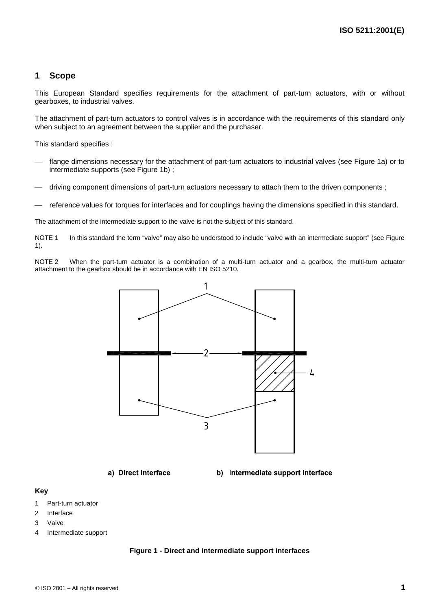## **1 Scope**

This European Standard specifies requirements for the attachment of part-turn actuators, with or without gearboxes, to industrial valves.

The attachment of part-turn actuators to control valves is in accordance with the requirements of this standard only when subject to an agreement between the supplier and the purchaser.

This standard specifies :

- flange dimensions necessary for the attachment of part-turn actuators to industrial valves (see Figure 1a) or to intermediate supports (see Figure 1b) ;
- driving component dimensions of part-turn actuators necessary to attach them to the driven components ;
- reference values for torques for interfaces and for couplings having the dimensions specified in this standard.

The attachment of the intermediate support to the valve is not the subject of this standard.

NOTE 1 In this standard the term "valve" may also be understood to include "valve with an intermediate support" (see Figure 1).

NOTE 2 When the part-turn actuator is a combination of a multi-turn actuator and a gearbox, the multi-turn actuator attachment to the gearbox should be in accordance with EN ISO 5210.



a) Direct interface

b) Intermediate support interface

#### **Key**

- 1 Part-turn actuator
- 2 Interface
- 3 Valve
- 4 Intermediate support

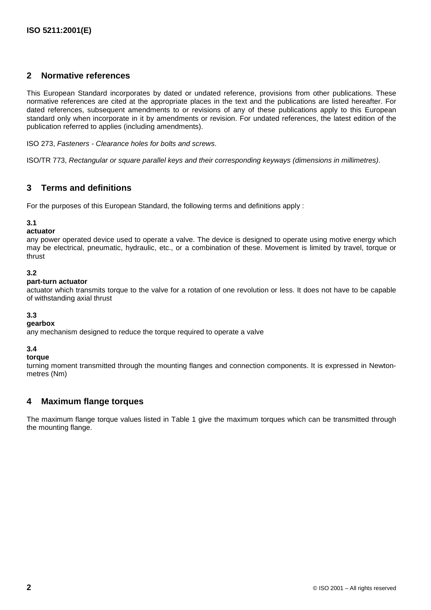# **2 Normative references**

This European Standard incorporates by dated or undated reference, provisions from other publications. These normative references are cited at the appropriate places in the text and the publications are listed hereafter. For dated references, subsequent amendments to or revisions of any of these publications apply to this European standard only when incorporate in it by amendments or revision. For undated references, the latest edition of the publication referred to applies (including amendments).

ISO 273, Fasteners - Clearance holes for bolts and screws.

ISO/TR 773, Rectangular or square parallel keys and their corresponding keyways (dimensions in millimetres).

# **3 Terms and definitions**

For the purposes of this European Standard, the following terms and definitions apply :

#### **3.1**

**actuator**

any power operated device used to operate a valve. The device is designed to operate using motive energy which may be electrical, pneumatic, hydraulic, etc., or a combination of these. Movement is limited by travel, torque or thrust

#### **3.2**

#### **part-turn actuator**

actuator which transmits torque to the valve for a rotation of one revolution or less. It does not have to be capable of withstanding axial thrust

#### **3.3**

#### **gearbox**

any mechanism designed to reduce the torque required to operate a valve

#### **3.4**

#### **torque**

turning moment transmitted through the mounting flanges and connection components. It is expressed in Newtonmetres (Nm)

# **4 Maximum flange torques**

The maximum flange torque values listed in Table 1 give the maximum torques which can be transmitted through the mounting flange.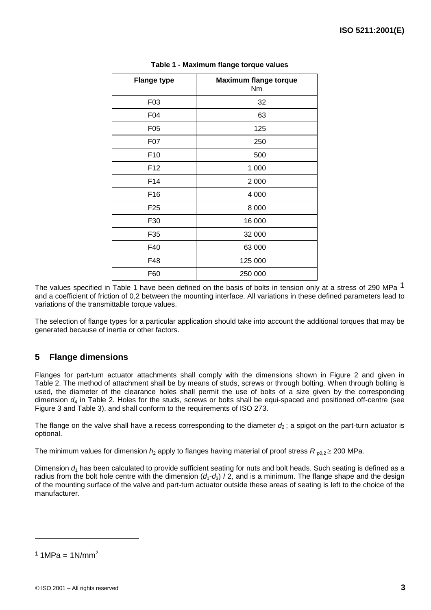| <b>Flange type</b> | <b>Maximum flange torque</b><br>Nm |
|--------------------|------------------------------------|
| F03                | 32                                 |
| F04                | 63                                 |
| F05                | 125                                |
| F07                | 250                                |
| F <sub>10</sub>    | 500                                |
| F <sub>12</sub>    | 1 000                              |
| F14                | 2 0 0 0                            |
| F16                | 4 0 0 0                            |
| F <sub>25</sub>    | 8 0 0 0                            |
| F30                | 16 000                             |
| F35                | 32 000                             |
| F40                | 63 000                             |
| F48                | 125 000                            |
| F60                | 250 000                            |

**Table 1 - Maximum flange torque values**

The values specified in Table 1 have been defined on the basis of bolts in tension only at a stress of 290 MPa 1 and a coefficient of friction of 0,2 between the mounting interface. All variations in these defined parameters lead to variations of the transmittable torque values.

The selection of flange types for a particular application should take into account the additional torques that may be generated because of inertia or other factors.

# **5 Flange dimensions**

Flanges for part-turn actuator attachments shall comply with the dimensions shown in Figure 2 and given in Table 2. The method of attachment shall be by means of studs, screws or through bolting. When through bolting is used, the diameter of the clearance holes shall permit the use of bolts of a size given by the corresponding dimension  $d_4$  in Table 2. Holes for the studs, screws or bolts shall be equi-spaced and positioned off-centre (see Figure 3 and Table 3), and shall conform to the requirements of ISO 273.

The flange on the valve shall have a recess corresponding to the diameter  $d_2$ ; a spigot on the part-turn actuator is optional.

The minimum values for dimension  $h_2$  apply to flanges having material of proof stress  $R_{p0,2}$   $\geq$  200 MPa.

Dimension  $d_1$  has been calculated to provide sufficient seating for nuts and bolt heads. Such seating is defined as a radius from the bolt hole centre with the dimension  $(d_1-d_3)/2$ , and is a minimum. The flange shape and the design of the mounting surface of the valve and part-turn actuator outside these areas of seating is left to the choice of the manufacturer.

 $1.1 \text{MPa} = 1 \text{N/mm}^2$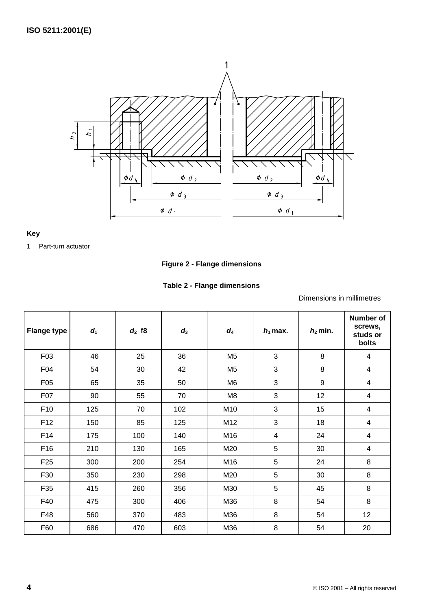

### **Key**

1 Part-turn actuator

# **Figure 2 - Flange dimensions**

### **Table 2 - Flange dimensions**

Dimensions in millimetres

| <b>Flange type</b> | d <sub>1</sub> | $d_2$ f8 | $d_3$ | $d_4$          | $h_1$ max. | $h_2$ min. | <b>Number of</b><br>screws,<br>studs or<br>bolts |
|--------------------|----------------|----------|-------|----------------|------------|------------|--------------------------------------------------|
| F03                | 46             | 25       | 36    | M <sub>5</sub> | 3          | 8          | 4                                                |
| F <sub>04</sub>    | 54             | 30       | 42    | M <sub>5</sub> | 3          | 8          | $\overline{4}$                                   |
| F05                | 65             | 35       | 50    | M <sub>6</sub> | 3          | 9          | 4                                                |
| F07                | 90             | 55       | 70    | M <sub>8</sub> | 3          | 12         | 4                                                |
| F <sub>10</sub>    | 125            | 70       | 102   | M10            | 3          | 15         | 4                                                |
| F <sub>12</sub>    | 150            | 85       | 125   | M12            | 3          | 18         | 4                                                |
| F14                | 175            | 100      | 140   | M16            | 4          | 24         | 4                                                |
| F16                | 210            | 130      | 165   | M20            | 5          | 30         | 4                                                |
| F <sub>25</sub>    | 300            | 200      | 254   | M16            | 5          | 24         | 8                                                |
| F30                | 350            | 230      | 298   | M20            | 5          | 30         | 8                                                |
| F35                | 415            | 260      | 356   | M30            | 5          | 45         | 8                                                |
| F40                | 475            | 300      | 406   | M36            | 8          | 54         | 8                                                |
| F48                | 560            | 370      | 483   | M36            | 8          | 54         | 12                                               |
| F60                | 686            | 470      | 603   | M36            | 8          | 54         | 20                                               |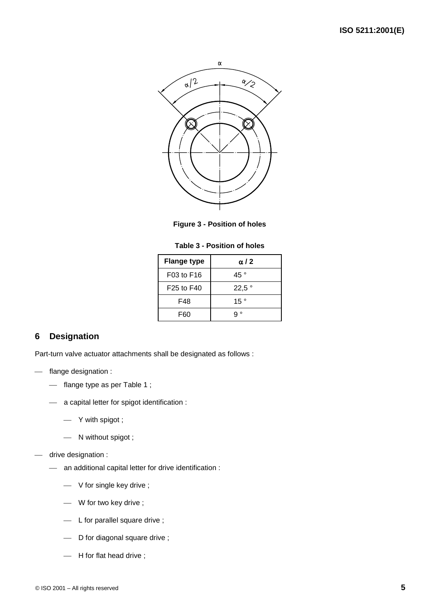

**Figure 3 - Position of holes**

| Table 3 - Position of holes |  |  |
|-----------------------------|--|--|
|-----------------------------|--|--|

| <b>Flange type</b> | $\alpha$ / 2  |
|--------------------|---------------|
| F03 to F16         | 45 $^{\circ}$ |
| F25 to F40         | 22,5°         |
| F48                | 15 $^{\circ}$ |
| F60                | $\circ$       |

# **6 Designation**

Part-turn valve actuator attachments shall be designated as follows :

- flange designation :
	- flange type as per Table 1;
	- a capital letter for spigot identification :
		- Y with spigot ;
		- N without spigot ;
- drive designation :
	- an additional capital letter for drive identification :
		- V for single key drive ;
		- W for two key drive ;
		- $-$  L for parallel square drive ;
		- D for diagonal square drive;
		- H for flat head drive;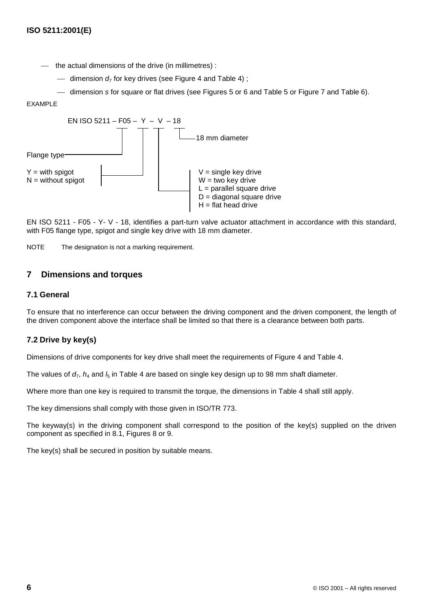- the actual dimensions of the drive (in millimetres) :

- dimension  $d_7$  for key drives (see Figure 4 and Table 4);

dimension s for square or flat drives (see Figures 5 or 6 and Table 5 or Figure 7 and Table 6).

#### EXAMPLE



EN ISO 5211 - F05 - Y- V - 18, identifies a part-turn valve actuator attachment in accordance with this standard, with F05 flange type, spigot and single key drive with 18 mm diameter.

NOTE The designation is not a marking requirement.

# **7 Dimensions and torques**

#### **7.1 General**

To ensure that no interference can occur between the driving component and the driven component, the length of the driven component above the interface shall be limited so that there is a clearance between both parts.

#### **7.2 Drive by key(s)**

Dimensions of drive components for key drive shall meet the requirements of Figure 4 and Table 4.

The values of  $d_7$ ,  $h_4$  and  $l_5$  in Table 4 are based on single key design up to 98 mm shaft diameter.

Where more than one key is required to transmit the torque, the dimensions in Table 4 shall still apply.

The key dimensions shall comply with those given in ISO/TR 773.

The keyway(s) in the driving component shall correspond to the position of the key(s) supplied on the driven component as specified in 8.1, Figures 8 or 9.

The key(s) shall be secured in position by suitable means.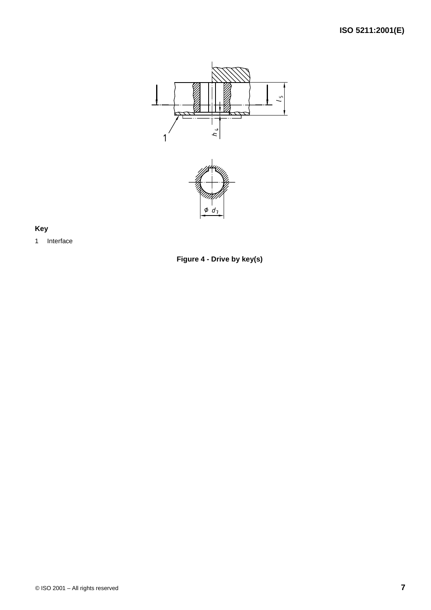



# **Key**



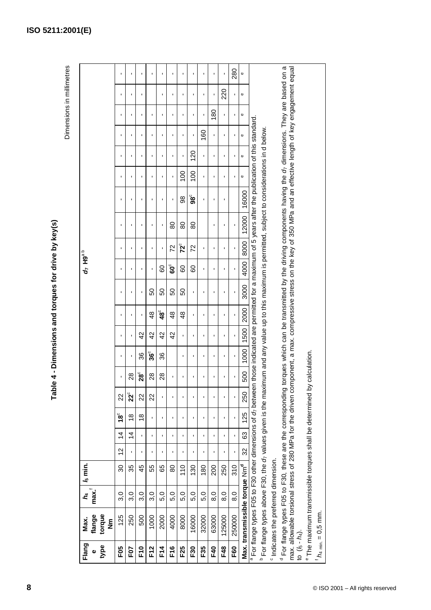| I                                                        |
|----------------------------------------------------------|
|                                                          |
|                                                          |
| $\frac{1}{2}$                                            |
|                                                          |
| くらい<br>֢֢ׅ֧ׅ֧֢ׅ֧֧֧֢ׅ֧֚֚֚֚֚֚֚֚֚֚֚֚֚֚֚֚֚֚֚֚֚֚֚֚֚֚֚֬֡֓֡֓֡֝֓ |
| $\frac{1}{2}$                                            |
| ı                                                        |
|                                                          |
|                                                          |

Dimensions in millimetres Dimensions in millimetres

| Flang<br>type<br>$\bullet$ | torque<br>flange<br>Max.<br>$\tilde{\bar{\mathbf{z}}}$                                                                                                                                                                                        | max.<br>$\boldsymbol{h}$ | $l_5$ min.     |          |                |                                      |                |                |                |                |                       |                | 4.19a <sub>p</sub> |                |                |                                                                                                          |                |                |                |                                  |                |                |
|----------------------------|-----------------------------------------------------------------------------------------------------------------------------------------------------------------------------------------------------------------------------------------------|--------------------------|----------------|----------|----------------|--------------------------------------|----------------|----------------|----------------|----------------|-----------------------|----------------|--------------------|----------------|----------------|----------------------------------------------------------------------------------------------------------|----------------|----------------|----------------|----------------------------------|----------------|----------------|
| F05                        | 125                                                                                                                                                                                                                                           | 3,0                      | 30             | 12       | $\overline{4}$ | $\overline{\mathbf{3}}^{\mathbf{c}}$ | 22             | $\blacksquare$ | $\blacksquare$ | $\blacksquare$ | $\blacksquare$        | $\blacksquare$ | J.                 | $\blacksquare$ | $\blacksquare$ | ï                                                                                                        | $\blacksquare$ | $\blacksquare$ | $\blacksquare$ | $\blacksquare$                   | $\blacksquare$ | $\blacksquare$ |
| FOT                        | 250                                                                                                                                                                                                                                           | 3,0                      | 35             |          | $\overline{4}$ | $\frac{8}{3}$                        | $22^{\circ}$   | 28             |                |                | I.                    |                | $\blacksquare$     |                |                |                                                                                                          | $\blacksquare$ |                |                | $\blacksquare$                   | I.             | $\blacksquare$ |
| F10                        | 500                                                                                                                                                                                                                                           | 3,0                      | 45             |          | $\blacksquare$ | $\frac{8}{1}$                        | 22             | $28^\circ$     | 36             | 42             | <b>I</b>              | $\blacksquare$ | $\blacksquare$     | <b>I</b>       | <b>I</b>       | ı                                                                                                        | $\blacksquare$ | $\blacksquare$ | <b>I</b>       | $\blacksquare$                   | $\blacksquare$ | $\blacksquare$ |
| <b>F12</b>                 | 1000                                                                                                                                                                                                                                          | 3,0                      | 55             |          | $\blacksquare$ |                                      | 22             | 28             | $36^\circ$     | 42             | $\frac{8}{4}$         | SO             | $\blacksquare$     |                | $\blacksquare$ |                                                                                                          | $\blacksquare$ | $\blacksquare$ | n              | $\blacksquare$                   |                | $\blacksquare$ |
| <b>F14</b>                 | 2000                                                                                                                                                                                                                                          | 5,0                      | 65             |          | ı              | $\blacksquare$                       | $\blacksquare$ | $^{28}$        | 36             | 42             | $\mathbf{48}^{\circ}$ | SO             | 80                 | $\blacksquare$ | ı              |                                                                                                          | $\blacksquare$ | $\blacksquare$ | $\blacksquare$ | $\blacksquare$                   | $\blacksquare$ | $\blacksquare$ |
| F16                        | 4000                                                                                                                                                                                                                                          | 5,0                      | 80             |          |                |                                      |                |                |                | 42             | $\frac{8}{4}$         | SO             | ິຍ                 | 72             | 80             | ı                                                                                                        | $\blacksquare$ |                |                | $\blacksquare$                   | $\blacksquare$ | $\blacksquare$ |
| F25                        | 8000                                                                                                                                                                                                                                          | 5,0                      | 110            |          | ı              | $\blacksquare$                       | $\blacksquare$ | $\blacksquare$ | $\blacksquare$ | $\mathbf{I}$   | $\frac{8}{4}$         | 50             | 80                 | $72^\circ$     | 80             | 98                                                                                                       | 100            | $\mathbf{I}$   | $\mathbf{I}$   | $\blacksquare$                   | $\mathbf I$    | $\blacksquare$ |
| F30                        | 16000                                                                                                                                                                                                                                         | 5,0                      | $\frac{30}{5}$ |          | $\blacksquare$ | $\blacksquare$                       | $\blacksquare$ | J.             | $\blacksquare$ | $\blacksquare$ | $\blacksquare$        | ı              | 8                  | 72             | 80             | $\mathbf{g}^{\mathbf{c}}$                                                                                | $\overline{0}$ | 120            | $\mathbf{I}$   | ı                                | $\blacksquare$ | $\blacksquare$ |
| F35                        | 32000                                                                                                                                                                                                                                         | 5,0                      | 180            |          | ı              | J.                                   | $\blacksquare$ | $\blacksquare$ | J.             | $\blacksquare$ | $\blacksquare$        | $\blacksquare$ | $\blacksquare$     | $\blacksquare$ |                | $\blacksquare$                                                                                           | $\blacksquare$ | $\blacksquare$ | 160            | ı                                | $\blacksquare$ | $\blacksquare$ |
| <b>F40</b>                 | 63000                                                                                                                                                                                                                                         | 8,0                      | 200            |          | ı              | ı                                    | $\blacksquare$ | ı              | ı              | $\blacksquare$ | $\blacksquare$        | $\blacksquare$ | ı                  | $\blacksquare$ | $\blacksquare$ | ı                                                                                                        | $\blacksquare$ | $\blacksquare$ | $\blacksquare$ | 180                              | ï              | $\blacksquare$ |
| F48                        | 125000                                                                                                                                                                                                                                        | $\overline{8}$ , 0       | 250            |          | ı              | $\blacksquare$                       |                | ı              | I.             | $\blacksquare$ | $\blacksquare$        | $\blacksquare$ | I.                 | $\blacksquare$ | $\blacksquare$ | I.                                                                                                       | $\blacksquare$ | I.             | $\blacksquare$ | $\mathbf{I}$                     | 220            | $\blacksquare$ |
| F60                        | 250000                                                                                                                                                                                                                                        | $\overline{8}$ .0        | 310            |          | $\blacksquare$ | $\mathbf{I}$                         |                |                |                | $\blacksquare$ |                       | $\mathbf{I}$   |                    | ï              | ī              |                                                                                                          | $\blacksquare$ | n              | $\blacksquare$ | $\blacksquare$                   | ı              | 280            |
|                            | Max. transmissible torque Nm <sup>d</sup>                                                                                                                                                                                                     |                          |                | $\Omega$ | යි             | 125                                  | 250            | 500            | 1000           | 1500           | 2000                  | 3000           | 4000               | 8000           | 12000          | 16000                                                                                                    | $\mathbf 0$    | $\mathbf 0$    | $\Phi$         | $\pmb{\mathsf{\scriptstyle{0}}}$ | Ф              | $\Phi$         |
|                            | For flange types F05 to F30 other dimensions of dy between those indicated are permitted for a maximum of 5 years after the publication of this standard.                                                                                     |                          |                |          |                |                                      |                |                |                |                |                       |                |                    |                |                |                                                                                                          |                |                |                |                                  |                |                |
|                            | <sup>b</sup> For flange types above F30, the d <sub>7</sub> values given is the maximum and any value up to this maximum is permitted, subject to considerations in d below.                                                                  |                          |                |          |                |                                      |                |                |                |                |                       |                |                    |                |                |                                                                                                          |                |                |                |                                  |                |                |
|                            | <sup>o</sup> Indicates the preferred dimension.                                                                                                                                                                                               |                          |                |          |                |                                      |                |                |                |                |                       |                |                    |                |                |                                                                                                          |                |                |                |                                  |                |                |
|                            | max. allowable torsional stress of 280 MPa for the driven component, a max. compressive stress on the key of 350 MPa and an effective length of key engagement equal<br><sup>d</sup> For flange types F05 to F30, these are the corresponding |                          |                |          |                |                                      |                |                |                |                |                       |                |                    |                |                | torques which can be transmitted by the driving components having the of dimensions. They are based on a |                |                |                |                                  |                |                |
| to $(l_5 - h_4)$ .         |                                                                                                                                                                                                                                               |                          |                |          |                |                                      |                |                |                |                |                       |                |                    |                |                |                                                                                                          |                |                |                |                                  |                |                |
|                            | <sup>e</sup> The maximum transmissible torques shall be determined by                                                                                                                                                                         |                          |                |          |                |                                      |                | calculation.   |                |                |                       |                |                    |                |                |                                                                                                          |                |                |                |                                  |                |                |
|                            | $h_{A \text{ min.}} = 0.5 \text{ mm.}$                                                                                                                                                                                                        |                          |                |          |                |                                      |                |                |                |                |                       |                |                    |                |                |                                                                                                          |                |                |                |                                  |                |                |
|                            |                                                                                                                                                                                                                                               |                          |                |          |                |                                      |                |                |                |                |                       |                |                    |                |                |                                                                                                          |                |                |                |                                  |                |                |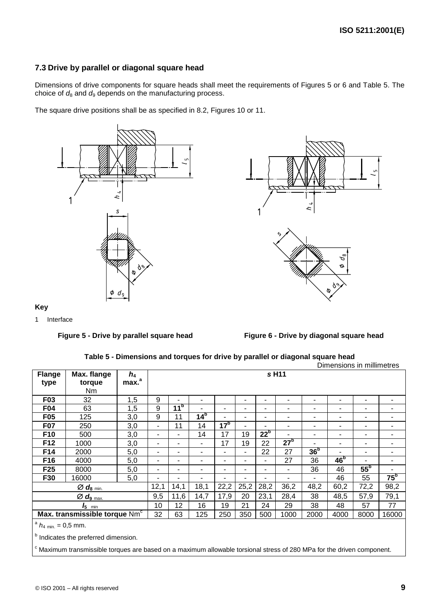# **7.3 Drive by parallel or diagonal square head**

Dimensions of drive components for square heads shall meet the requirements of Figures 5 or 6 and Table 5. The choice of  $d_8$  and  $d_9$  depends on the manufacturing process.

The square drive positions shall be as specified in 8.2, Figures 10 or 11.





# **Key**



Figure 5 - Drive by parallel square head **Figure 6 - Drive by diagonal square head** 

|  | Table 5 - Dimensions and torques for drive by parallel or diagonal square head |
|--|--------------------------------------------------------------------------------|
|--|--------------------------------------------------------------------------------|

|                                         |                                                                                                                                   |                   |                          |                 |                 |                 |      |                 |                 |                 | Dimensions in millimetres |                 |                 |
|-----------------------------------------|-----------------------------------------------------------------------------------------------------------------------------------|-------------------|--------------------------|-----------------|-----------------|-----------------|------|-----------------|-----------------|-----------------|---------------------------|-----------------|-----------------|
| <b>Flange</b>                           | Max. flange                                                                                                                       | $h_4$             |                          |                 |                 |                 |      |                 | s H11           |                 |                           |                 |                 |
| type                                    | torque                                                                                                                            | max. <sup>a</sup> |                          |                 |                 |                 |      |                 |                 |                 |                           |                 |                 |
|                                         | Nm.                                                                                                                               |                   |                          |                 |                 |                 |      |                 |                 |                 |                           |                 |                 |
| F03                                     | 32                                                                                                                                | 1,5               | 9                        |                 | ۰               |                 | ٠    | ٠               | ۰               | ٠               | $\blacksquare$            | ٠               | ۰               |
| <b>F04</b>                              | 63                                                                                                                                | 1,5               | 9                        | 11 <sup>b</sup> |                 | ۰.              | ٠    |                 | ۰               | ۰               | ۰                         | ٠               |                 |
| F <sub>05</sub>                         | 125                                                                                                                               | 3,0               | 9                        | 11              | 14 <sup>b</sup> | -               | ٠    | ٠               | ۰               | ٠               | $\blacksquare$            |                 |                 |
| <b>F07</b>                              | 250                                                                                                                               | 3,0               | $\overline{\phantom{0}}$ | 11              | 14              | 17 <sup>b</sup> |      |                 |                 | ۰               | $\blacksquare$            |                 |                 |
| F <sub>10</sub>                         | 500                                                                                                                               | 3,0               | $\blacksquare$           | ۰               | 14              | 17              | 19   | 22 <sup>b</sup> | ۰               | ۰               | $\blacksquare$            | ٠               | ۰               |
| F12                                     | 1000                                                                                                                              | 3,0               |                          | ۰               |                 | 17              | 19   | 22              | 27 <sup>b</sup> |                 | $\blacksquare$            |                 |                 |
| F14                                     | 2000                                                                                                                              | 5,0               | $\blacksquare$           | ۰               | ۰               | ۰               | ٠    | 22              | 27              | 36 <sup>b</sup> |                           |                 |                 |
| F16                                     | 4000                                                                                                                              | 5,0               | ٠                        | ۰               | ٠               | $\blacksquare$  | ٠    | ٠               | 27              | 36              | 46 <sup>b</sup>           |                 | ۰.              |
| F <sub>25</sub>                         | 8000                                                                                                                              | 5,0               | $\blacksquare$           | ۰               |                 | ۰               |      |                 |                 | 36              | 46                        | 55 <sup>b</sup> |                 |
| F30                                     | 16000                                                                                                                             | 5,0               | ۰                        | -               | ٠               | ۰               |      |                 | ۰               | ٠               | 46                        | 55              | 75 <sup>b</sup> |
|                                         | $\varnothing$ $d_8$ min.                                                                                                          |                   | 12,1                     | 14,1            | 18,1            | 22,2            | 25,2 | 28,2            | 36,2            | 48,2            | 60,2                      | 72,2            | 98,2            |
|                                         | $\varnothing$ $d_9$ max.                                                                                                          |                   | 9,5                      | 11,6            | 14,7            | 17,9            | 20   | 23,1            | 28,4            | 38              | 48,5                      | 57,9            | 79,1            |
|                                         | $I_5$ min                                                                                                                         |                   | 10                       | 12              | 16              | 19              | 21   | 24              | 29              | 38              | 48                        | 57              | 77              |
|                                         | Max. transmissible torque Nm <sup>c</sup>                                                                                         |                   | 32                       | 63              | 125             | 250             | 350  | 500             | 1000            | 2000            | 4000                      | 8000            | 16000           |
| $a_{h4 \text{ min.}} = 0.5 \text{ mm.}$ |                                                                                                                                   |                   |                          |                 |                 |                 |      |                 |                 |                 |                           |                 |                 |
|                                         | <sup>b</sup> Indicates the preferred dimension.                                                                                   |                   |                          |                 |                 |                 |      |                 |                 |                 |                           |                 |                 |
|                                         | <sup>c</sup> Maximum transmissible torques are based on a maximum allowable torsional stress of 280 MPa for the driven component. |                   |                          |                 |                 |                 |      |                 |                 |                 |                           |                 |                 |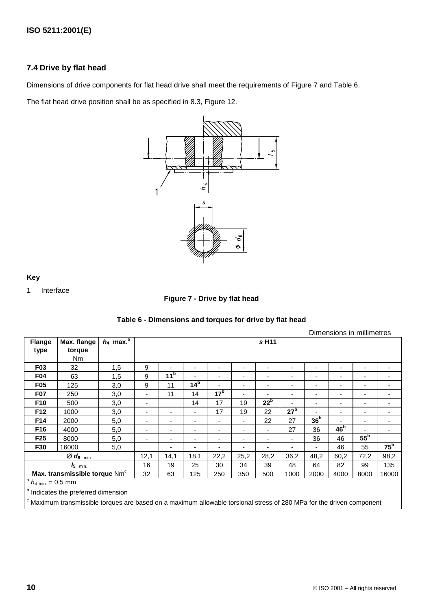# **7.4 Drive by flat head**

Dimensions of drive components for flat head drive shall meet the requirements of Figure 7 and Table 6.

The flat head drive position shall be as specified in 8.3, Figure 12.



**Key**

1 Interface

### **Figure 7 - Drive by flat head**

|                  |                                           |                         |      |                 |                 |                          |                |                 |                          |                 | Dimensions in millimetres |                          |                          |
|------------------|-------------------------------------------|-------------------------|------|-----------------|-----------------|--------------------------|----------------|-----------------|--------------------------|-----------------|---------------------------|--------------------------|--------------------------|
| <b>Flange</b>    | Max. flange                               | $h_4$ max. <sup>a</sup> |      |                 |                 |                          |                | s H11           |                          |                 |                           |                          |                          |
| type             | torque                                    |                         |      |                 |                 |                          |                |                 |                          |                 |                           |                          |                          |
|                  | Nm                                        |                         |      |                 |                 |                          |                |                 |                          |                 |                           |                          |                          |
| F <sub>0</sub> 3 | 32                                        | 1,5                     | 9    |                 |                 |                          | ۰              |                 | ٠                        |                 | $\blacksquare$            | $\overline{\phantom{0}}$ |                          |
| F04              | 63                                        | 1,5                     | 9    | 11 <sup>b</sup> |                 |                          | -              |                 | ٠                        |                 | ۰                         | $\overline{\phantom{a}}$ |                          |
| F <sub>05</sub>  | 125                                       | 3,0                     | 9    | 11              | 14 <sup>b</sup> |                          | ۰              |                 |                          |                 | $\overline{\phantom{0}}$  |                          |                          |
| <b>F07</b>       | 250                                       | 3,0                     | ۰    | 11              | 14              | 17 <sup>b</sup>          | -              |                 | ٠                        |                 | $\blacksquare$            | ٠                        | $\overline{\phantom{0}}$ |
| F10              | 500                                       | 3,0                     | ۰    |                 | 14              | 17                       | 19             | 22 <sup>b</sup> |                          | -               | $\blacksquare$            | $\overline{\phantom{0}}$ | $\overline{\phantom{0}}$ |
| F <sub>12</sub>  | 1000                                      | 3,0                     | ۰    | ۰               | ۰.              | 17                       | 19             | 22              | 27 <sup>b</sup>          |                 | ۰                         | $\overline{\phantom{0}}$ | $\overline{\phantom{0}}$ |
| F14              | 2000                                      | 5,0                     | ۰    |                 |                 | $\overline{\phantom{a}}$ | -              | 22              | 27                       | 36 <sup>b</sup> |                           | $\overline{\phantom{0}}$ |                          |
| F16              | 4000                                      | 5,0                     | ٠    | ۰               | ٠               | $\overline{\phantom{0}}$ | ٠              | ٠               | 27                       | 36              | 46 <sup>b</sup>           |                          | $\overline{\phantom{0}}$ |
| F <sub>25</sub>  | 8000                                      | 5,0                     | ۰    |                 | -               |                          | ۰              | -               | $\overline{\phantom{0}}$ | 36              | 46                        | 55 <sup>b</sup>          |                          |
| F30              | 16000                                     | 5,0                     |      |                 |                 |                          | $\blacksquare$ |                 | -                        |                 | 46                        | 55                       | $75^{\rm b}$             |
|                  | $Ød_8$ <sub>min.</sub>                    |                         | 12,1 | 14,1            | 18,1            | 22,2                     | 25,2           | 28,2            | 36,2                     | 48,2            | 60,2                      | 72,2                     | 98,2                     |
|                  | $I_5$ <sub>min.</sub>                     |                         | 16   | 19              | 25              | 30                       | 34             | 39              | 48                       | 64              | 82                        | 99                       | 135                      |
|                  | Max. transmissible torque Nm <sup>c</sup> |                         | 32   | 63              | 125             | 250                      | 350            | 500             | 1000                     | 2000            | 4000                      | 8000                     | 16000                    |
| $a$ ,            | $\sim$ $-$                                |                         |      |                 |                 |                          |                |                 |                          |                 |                           |                          |                          |

#### **Table 6 - Dimensions and torques for drive by flat head**

 $h_{4 \text{ min.}} = 0.5 \text{ mm}$ 

**b** Indicates the preferred dimension

<sup>c</sup> Maximum transmissible torques are based on a maximum allowable torsional stress of 280 MPa for the driven component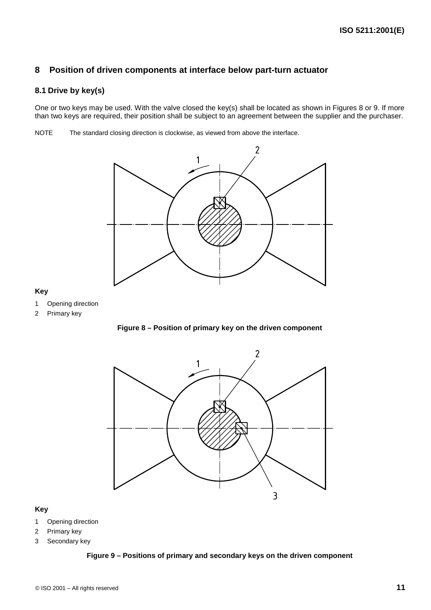# **8 Position of driven components at interface below part-turn actuator**

# **8.1 Drive by key(s)**

One or two keys may be used. With the valve closed the key(s) shall be located as shown in Figures 8 or 9. If more than two keys are required, their position shall be subject to an agreement between the supplier and the purchaser.

NOTE The standard closing direction is clockwise, as viewed from above the interface.



### **Key**

- 1 Opening direction
- 2 Primary key





#### **Key**

- 1 Opening direction
- 2 Primary key
- 3 Secondary key

#### **Figure 9 – Positions of primary and secondary keys on the driven component**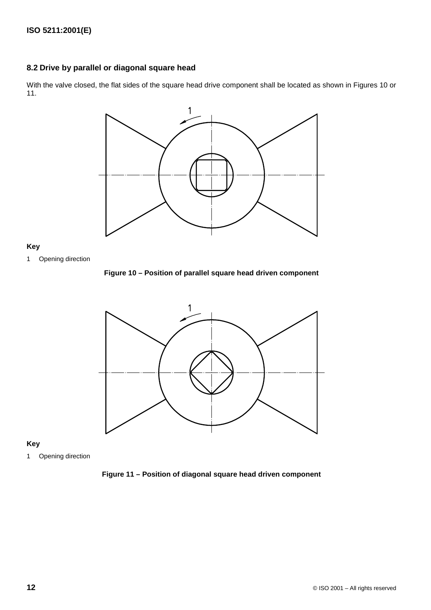# **8.2 Drive by parallel or diagonal square head**

With the valve closed, the flat sides of the square head drive component shall be located as shown in Figures 10 or 11.



#### **Key**

1 Opening direction

**Figure 10 – Position of parallel square head driven component**



#### **Key**

1 Opening direction

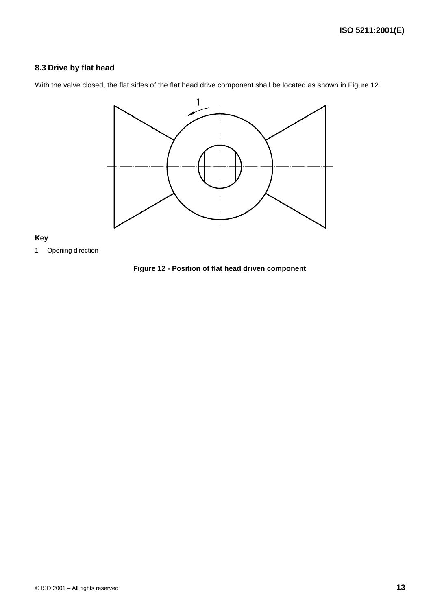# **8.3 Drive by flat head**

With the valve closed, the flat sides of the flat head drive component shall be located as shown in Figure 12.



#### **Key**

1 Opening direction

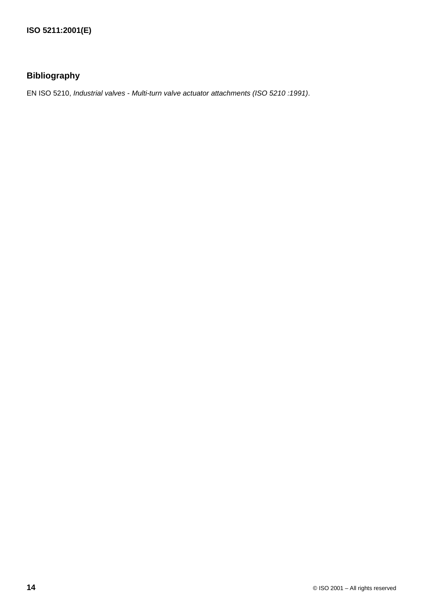# **Bibliography**

EN ISO 5210, Industrial valves - Multi-turn valve actuator attachments (ISO 5210 :1991).